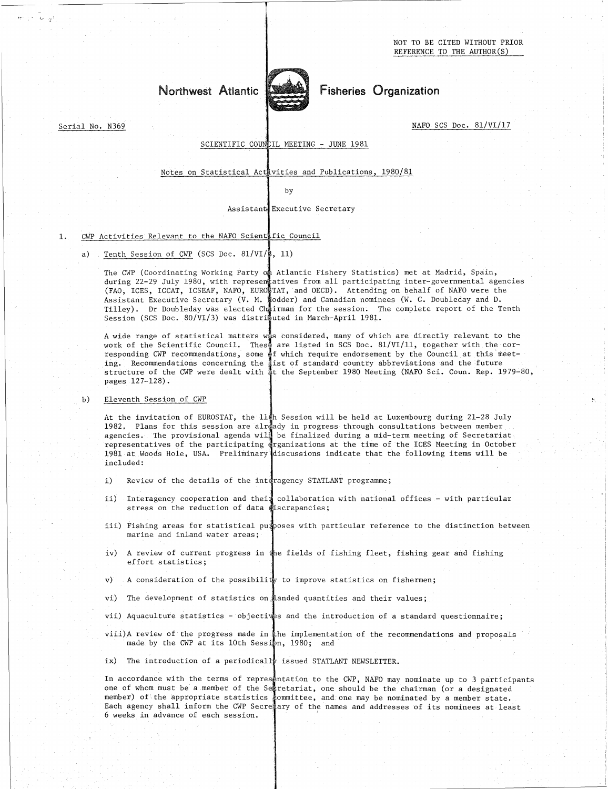NOT TO BE CITED WITHOUT PRIOR REFERENCE TO THE AUTHOR(S)

# Northwest Atlantic



Fisheries Organization

NAFO SCS Doc. 81/VI/17

# SCIENTIFIC COUNCIL MEETING - JUNE 1981

# Notes on Statistical Activities and Publications, 1980/81

by

# Assistant Executive Secretary

# SCIENTIFIC COUNCIL MEETING<br>
Notes on Statistical Activities and<br>
by<br>
Assistant Executive S<br>
1. CWP Activities Relevant to the NAFO Scient fic Council<br>
a) Tenth Session of CWP (SCS Doc. 81/VI/8, 11)<br>
The CUP (Coordinating M

Notes on Statistical Activities<br>
by<br>
Assistant Executed Assistant<br>
CWP Activities Relevant to the NAFO Scientific (<br>
a) Tenth Session of CWP (SCS Doc. 81/VI/8, 11)<br>
The CWP (Coordinating Working Party on Atla<br>
during 22-29 The CWP (Coordinating Working Party on Atlantic Fishery Statistics) met at Madrid, Spain, during 22-29 July 1980, with representatives from all participating inter-governmental agencies (FAO, ICES, ICCAT, ICSEAF, NAFO, EUROTAT, and OECD). Attending on behalf of NAFO were the Assistant Executive Secretary (V. M. lodder) and Canadian nominees (W. G. Doubleday and D. Tilley). Dr Doubleday was elected Chairman for the session. The complete report of the Tenth Session (SCS Doc. 80/VI/3) was distributed in March-April 1981.

A wide range of statistical matters was considered, many of which are directly relevant to the work of the Scientific Council. Thes $\frac{1}{3}$  are listed in SCS Doc. 81/VI/11, together with the corresponding CWP recommendations, some of which require endorsement by the Council at this meeting. Recommendations concerning the list of standard country abbreviations and the future structure of the CWP were dealt with at the September 1980 Meeting (NAFO Sci. Coun. Rep. 1979-80, pages 127-128).

# $h)$  Eleventh Session of CWP

Serial No. N369

At the invitation of EUROSTAT, the  $11\,\mathrm{sh}$  Session will be held at Luxembourg during 21–28 July 1982. Plans for this session are already in progress through consultations between member agencies. The provisional agenda will be finalized during a mid-term meeting of Secretariat representatives of the participating drganizations at the time of the ICES Meeting in October 1981 at Woods Hole, USA. Preliminary discussions indicate that the following items will be included:

- $\mathbf{i}$ ) Review of the details of the interagency STATLANT programme;
- ii) Interagency cooperation and their collaboration with national offices with particular stress on the reduction of data discrepancies;
- iii) Fishing areas for statistical pumposes with particular reference to the distinction between marine and inland water areas;
- iv) A review of current progress in the fields of fishing fleet, fishing gear and fishing effort statistics;
- A consideration of the possibility to improve statistics on fishermen; v)
- vi) The development of statistics on landed quantities and their values;

vii) Aquaculture statistics - objectives and the introduction of a standard questionnaire;

- viii)A review of the progress made in the implementation of the recommendations and proposals made by the CWP at its 10th Session, 1980; and vii) Aquaculture statistics - objectives and the introduction of a standard questionnaire;<br>viii) A review of the progress made in the implementation of the recommendations and proposals<br>made by the CWP at its loth Session,
- 

one of whom must be a member of the Secretariat, one should be the chairman (or a designated member) of the appropriate statistics committee, and one may be nominated by a member state. Each agency shall inform the CWP Secretary of the names and addresses of its nominees at least 6 weeks in advance of each session.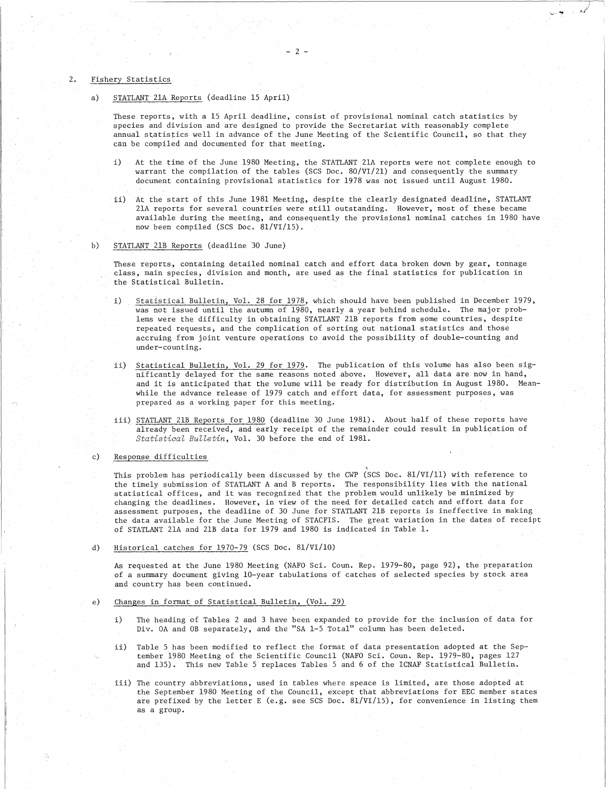## 2. Fishery Statistics

a) STATLANT 21A Reports (deadline 15 April)

These reports, with a 15 April deadline, consist of provisional nominal catch statistics by species and division and are designed to provide the Secretariat with reasonably complete annual statistics well in advance of the June Meeting of the Scientific Council, so that they can be compiled and documented for that meeting.

- 2-

- $\mathbf{i}$ At the time of the June 1980 Meeting, the STATLANT 21A reports were not complete enough to warrant the compilation of the tables (SCS Doc. 80/VI/21) and consequently the summary document containing provisional statistics for 1978 was not issued until August 1980.
- ii) At the start of this June 1981 Meeting, despite the clearly designated deadline, STATLANT 21A reports for several countries were still outstanding. However, most of these became available during the meeting, and consequently the provisionsl nominal catches in 1980 have now been compiled (SCS Doc. 81/VI/15). warrant the compilation of the tal<br>
document containing provisional st<br>
ii) At the start of this June 1981 Mee<br>
21A reports for several countries<br>
available during the meeting, and<br>
now been compiled (SCS Doc. 81/VI,<br>
b) S
	-

These reports, containing detailed nominal catch and effort data broken down by gear, tonnage class, main species, division and month, are used as the final statistics for publication in the Statistical Bulletin.

- Statistical Bulletin, Vol. 28 for 1978, which should have been published in December 1979,  $\mathbf{i}$ ) was not issued until the autumn of 1980, nearly a year behind schedule. The major problems were the difficulty in obtaining STATLANT 21B reports from some countries, despite repeated requests, and the complication of sorting out national statistics and those accruing from joint venture operations to avoid the possibility of double-counting and under-counting.
- ii) Statistical Bulletin, Vol. 29 for 1979. The publication of this volume has also been significantly delayed for the same reasons noted above. However, all data are now in hand, and it is anticipated that the volume will be ready for distribution in August 1980. Meanwhile the advance release of 1979 catch and effort data, for assessment purposes, was prepared as a working paper for this meeting.
- iii) STATLANT 21B Reports for 1980 (deadline 30 June 1981). About half of these reports have already been received, and early receipt of the remainder could result in publication of *Statistical Bulletin,* Vol. 30 before the end of 1981. and it is antici<br>
while the advance<br>
prepared as a wo<br>
iii) STATLANT 21B Rep<br>
already been rec<br> *Statistical Bull*<br>
c) Response difficulties<br>
This problem has peri<br>
the timely submission

This problem has periodically been discussed by the CWP (SCS Doc.  $81 / \mathrm{VI}/11)$  with reference to the timely submission of STATLANT A and B reports. The responsibility lies with the national statistical offices, and it was recognized that the problem would unlikely be minimized by changing the deadlines. However, in view of the need for detailed catch and effort data for assessment purposes, the deadline of 30 June for STATLANT 21B reports is ineffective in making the data available for the June Meeting of STACFIS. The great variation in the dates of receipt of STATLANT 21A and 21B data for 1979 and 1980 is indicated in Table 1.

Historical catches for 1970-79 (SCS Doc. 81/VI/10)  $\overline{d}$ 

As requested at the June 1980 Meeting (NAFO Sci. Coun. Rep. 1979-80, page 92), the preparation of a summary document giving 10-year tabulations of catches of selected species by stock area and country has been continued.

- Changes in format of Statistical Bulletin, (Vol. 29)  $_{\rm e}$ 
	- The heading of Tables 2 and 3 have been expanded to provide for the inclusion of data for  $\bf{1)}$ Div. OA and OB separately, and the "SA 1-5 Total" column has been deleted.
	- Table 5 has been modified to reflect the format of data presentation adopted at the Sepii) tember 1980 Meeting of the Scientific Council (NAFO Sci. Coun. Rep. 1979-80, pages 127 and 135). This new Table 5 replaces Tables 5 and 6 of the ICNAF Statistical Bulletin.
	- iii) The country abbreviations, used in tables where speace is limited, are those adopted at the September 1980 Meeting of the Council, except that abbreviations for EEC member states are prefixed by the letter E (e.g. see SCS Doc. 81/VI/15), for convenience in listing them as a group.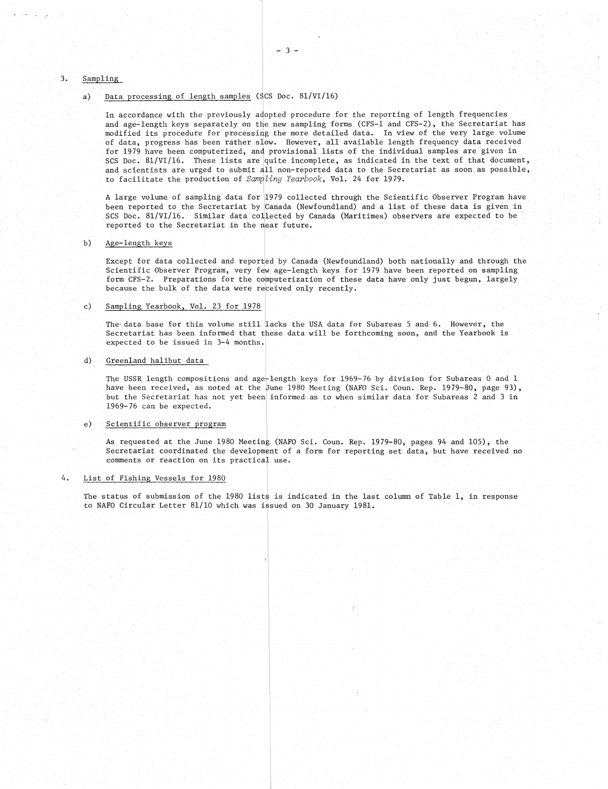## Sampling,

 $3.$ 

Sampling<br>
a) <u>Data processing of length samples</u> (SCS Doc. 81/VI/16)<br>
In accordance with the previously adopted procedure<br>
and age-length keys separately on the new sampling fo In accordance with the previously adopted procedure for the reporting of length frequencies and age-length keys separately on the new sampling forms (CFS-1 and CFS-2), the Secretariat has modified its procedure for processing the more detailed data. In view of the very large volume of data, progress has been rather slow. However, all available length frequency data received for 1979 have been computerized, and provisional lists of the individual samples are given in SCS Doc. 81/VI/16. These lists are quite incomplete, as indicated in the text, of that document, and scientists are urged to submit all non-reported data to the Secretariat as soon as possible, to facilitate the production of *Sampling Yearbook*, Vol. 24 for 1979.

A large volume of sampling data for 1979 collected through the Scientific Observer Program have been reported to the Secretariat by Canada (Newfoundland) and a list of these data is given in SCS Doc. 81/VI/16. Similar data collected by Canada (Maritimes) observers are expected to be reported to the Secretariat in the near future.

## Age-length keys

Except for data collected and reported by Canada (Newfoundland) both nationally and through the Scientific Observer Program, very few age-length keys for 1979 have been reported on sampling form CFS-2. Preparations for the computerization of these data have only just begun, largely because the'bulk of the data were received only recently. been reported to the Secretariat by<br>SCS Doc. 81/VI/16. Similar data co.<br>reported to the Secretariat in the 1<br>b)<br>Age-length keys<br>Except for data collected and repor<br>Scientific Observer Program, very fi<br>form CFS-2. Preparati

The data base for this volume still lacks the USA data for Subareas 5 and 6. However, the Secretariat has been informed that these data will be forthcoming soon, and the Yearbook is expected to be issued in 3-4 months.

# Greenland halibut data

The USSR length compositions and age-length keys for 1969-76 by division for Subareas 0 and 1 have been received, as noted at the June 1980 Meeting (NAFO Sci. Coun. Rep. 1979-80, page 93), but the Secretariat has not yet been informed as to when similar data for Subareas 2 and 3 in 1969-76 can be expected. The data base for this volume<br>Secretariat has been inform<br>expected to be issued in 3-<br>d) Greenland halibut data<br>The USSR length composition<br>have been received, as note<br>but the Secretariat has not<br>1969-76 can be expected.<br>e The USSR length composition<br>have been received, as note<br>but the Secretariat has not<br>1969-76 can be expected.<br>e) Scientific observer program<br>As requested at the June 19<br>Secretariat coordinated the<br>comments or reaction on it

As requested at the June 1980 Meeting (NAFO Sci. Coun. Rep. 1979-80, pages 94 and 105), the Secretariat coordinated the development of a form for reporting set data, but have received no comments or reaction on its practical use.

The status of submission of the 1980 lists is indicated in the last column of Table 1, in response to NAFO Circular Letter 81/10 which was issued on 30 January 1981.